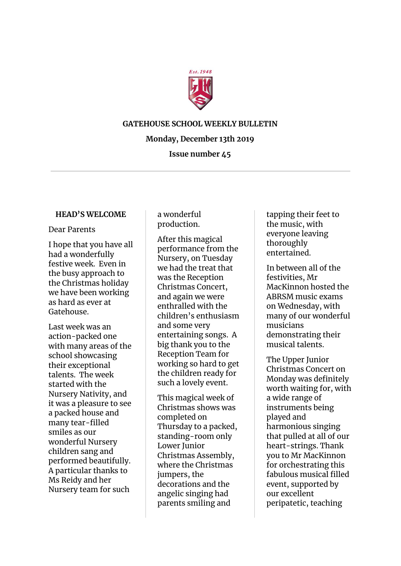

## **GATEHOUSE SCHOOL WEEKLY BULLETIN**

# **Monday, December 13th 2019**

# **Issue number 45**

### **HEAD'S WELCOME**

### Dear Parents

I hope that you have all had a wonderfully festive week. Even in the busy approach to the Christmas holiday we have been working as hard as ever at Gatehouse.

Last week was an action-packed one with many areas of the school showcasing their exceptional talents. The week started with the Nursery Nativity, and it was a pleasure to see a packed house and many tear-filled smiles as our wonderful Nursery children sang and performed beautifully. A particular thanks to Ms Reidy and her Nursery team for such

a wonderful production.

After this magical performance from the Nursery, on Tuesday we had the treat that was the Reception Christmas Concert, and again we were enthralled with the children's enthusiasm and some very entertaining songs. A big thank you to the Reception Team for working so hard to get the children ready for such a lovely event.

This magical week of Christmas shows was completed on Thursday to a packed, standing-room only Lower Junior Christmas Assembly, where the Christmas jumpers, the decorations and the angelic singing had parents smiling and

tapping their feet to the music, with everyone leaving thoroughly entertained.

In between all of the festivities, Mr MacKinnon hosted the ABRSM music exams on Wednesday, with many of our wonderful musicians demonstrating their musical talents.

The Upper Junior Christmas Concert on Monday was definitely worth waiting for, with a wide range of instruments being played and harmonious singing that pulled at all of our heart-strings. Thank you to Mr MacKinnon for orchestrating this fabulous musical filled event, supported by our excellent peripatetic, teaching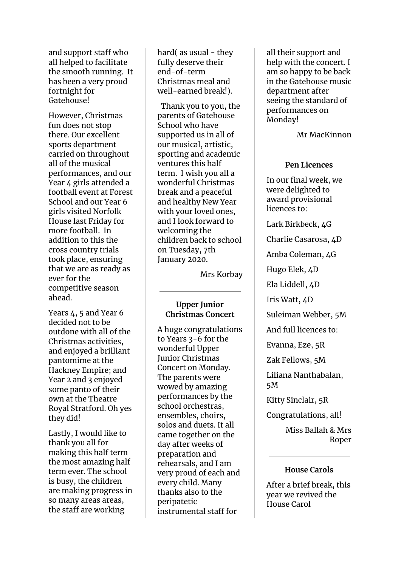and support staff who all helped to facilitate the smooth running. It has been a very proud fortnight for Gatehouse!

However, Christmas fun does not stop there. Our excellent sports department carried on throughout all of the musical performances, and our Year 4 girls attended a football event at Forest School and our Year 6 girls visited Norfolk House last Friday for more football. In addition to this the cross country trials took place, ensuring that we are as ready as ever for the competitive season ahead.

Years 4, 5 and Year 6 decided not to be outdone with all of the Christmas activities, and enjoyed a brilliant pantomime at the Hackney Empire; and Year 2 and 3 enjoyed some panto of their own at the Theatre Royal Stratford. Oh yes they did!

Lastly, I would like to thank you all for making this half term the most amazing half term ever. The school is busy, the children are making progress in so many areas areas, the staff are working

hard( as usual - they fully deserve their end-of-term Christmas meal and well-earned break!).

Thank you to you, the parents of Gatehouse School who have supported us in all of our musical, artistic, sporting and academic ventures this half term. I wish you all a wonderful Christmas break and a peaceful and healthy New Year with your loved ones, and I look forward to welcoming the children back to school on Tuesday, 7th January 2020.

Mrs Korbay

# **Upper Junior Christmas Concert**

A huge congratulations to Years 3-6 for the wonderful Upper Junior Christmas Concert on Monday. The parents were wowed by amazing performances by the school orchestras, ensembles, choirs, solos and duets. It all came together on the day after weeks of preparation and rehearsals, and I am very proud of each and every child. Many thanks also to the peripatetic instrumental staff for

all their support and help with the concert. I am so happy to be back in the Gatehouse music department after seeing the standard of performances on Monday!

Mr MacKinnon

# **Pen Licences**

In our final week, we were delighted to award provisional licences to:

Lark Birkbeck, 4G

Charlie Casarosa, 4D

Amba Coleman, 4G

Hugo Elek, 4D

Ela Liddell, 4D

Iris Watt, 4D

Suleiman Webber, 5M

And full licences to:

Evanna, Eze, 5R

Zak Fellows, 5M

Liliana Nanthabalan, 5M

Kitty Sinclair, 5R

Congratulations, all!

Miss Ballah & Mrs Roper

# **House Carols**

After a brief break, this year we revived the House Carol